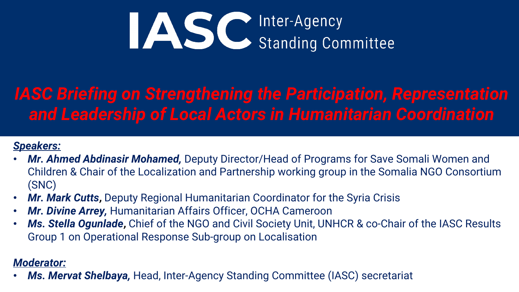

# **IASC Briefing on Strengthening the Participation, Representation** *and Leadership of Local Actors in Humanitarian Coordination*

#### *Speakers:*

- *Mr. Ahmed Abdinasir Mohamed,* Deputy Director/Head of Programs for Save Somali Women and Children & Chair of the Localization and Partnership working group in the Somalia NGO Consortium (SNC)
- *Mr. Mark Cutts***,** Deputy Regional Humanitarian Coordinator for the Syria Crisis
- *Mr. Divine Arrey,* Humanitarian Affairs Officer, OCHA Cameroon
- *Ms. Stella Ogunlade***,** Chief of the NGO and Civil Society Unit, UNHCR & co-Chair of the IASC Results Group 1 on Operational Response Sub-group on Localisation

#### *Moderator:*

• *Ms. Mervat Shelbaya,* Head, Inter-Agency Standing Committee (IASC) secretariat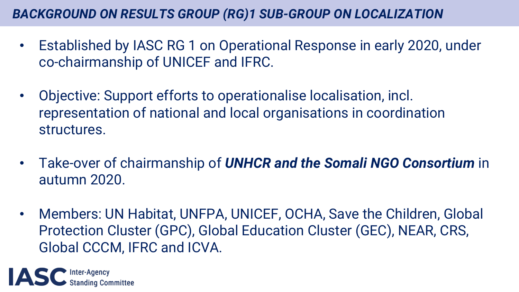## *BACKGROUND ON RESULTS GROUP (RG)1 SUB-GROUP ON LOCALIZATION*

- Established by IASC RG 1 on Operational Response in early 2020, under co-chairmanship of UNICEF and IFRC.
- Objective: Support efforts to operationalise localisation, incl. representation of national and local organisations in coordination structures.
- Take-over of chairmanship of *UNHCR and the Somali NGO Consortium* in autumn 2020.
- Members: UN Habitat, UNFPA, UNICEF, OCHA, Save the Children, Global Protection Cluster (GPC), Global Education Cluster (GEC), NEAR, CRS, Global CCCM, IFRC and ICVA.

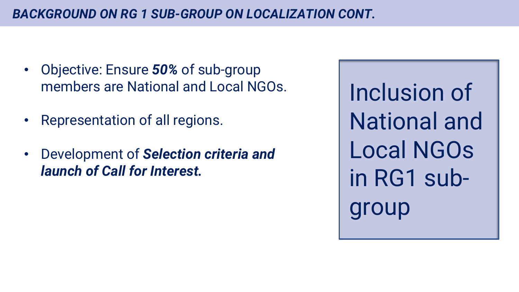- Objective: Ensure *50%* of sub-group members are National and Local NGOs.
- Representation of all regions.
- Development of *Selection criteria and launch of Call for Interest.*

Inclusion of National and Local NGOs in RG1 subgroup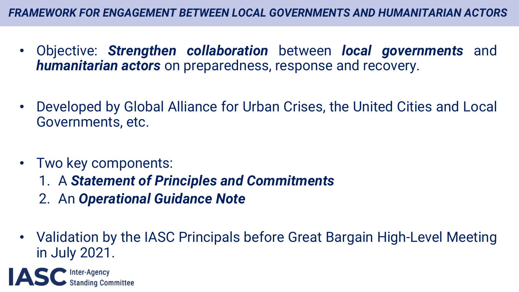- Objective: *Strengthen collaboration* between *local governments* and *humanitarian actors* on preparedness, response and recovery.
- Developed by Global Alliance for Urban Crises, the United Cities and Local Governments, etc.
- Two key components:
	- 1. A *Statement of Principles and Commitments*
	- 2. An *Operational Guidance Note*
- Validation by the IASC Principals before Great Bargain High-Level Meeting in July 2021.

Inter-Agency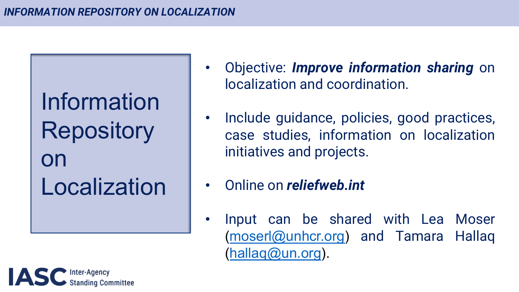### *INFORMATION REPOSITORY ON LOCALIZATION*

Information **Repository** on Localization

- **Objective: Improve** localization and o
- Include [guidanc](mailto:moserlhallaq@un.org)e case studies, in initiatives and pro
- **Online on** *reliefwe* 
	- Input can be (moserl@unhcr.o (hallaq@un.org).

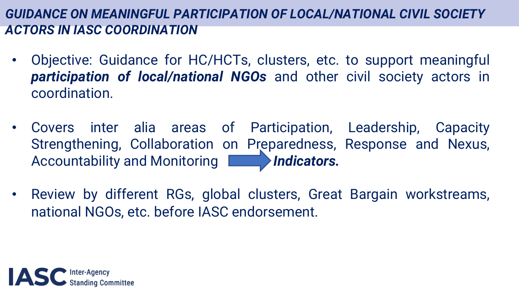## *GUIDANCE ON MEANINGFUL PARTICIPATION OF LOCAL/NATIONAL CIVIL SOCIETY ACTORS IN IASC COORDINATION*

- Objective: Guidance for HC/HCTs, clusters, etc. to support meaningful *participation of local/national NGOs* and other civil society actors in coordination.
- Covers inter alia areas of Participation, Leadership, Capacity Strengthening, Collaboration on Preparedness, Response and Nexus, Accountability and Monitoring **Indicators.**
- Review by different RGs, global clusters, Great Bargain workstreams, national NGOs, etc. before IASC endorsement.

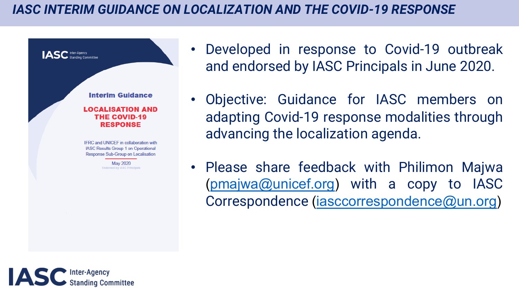### **IASC INTERIM GUIDANCE ON LOCALIZATION AND THE**



- [Developed](mailto:pmajwa@unicef.org) in response and endorsed by IAS
- Objective: Guidance adapting Covid-19 re advancing the locali
- Please share feedback (pmajwa@unicef.org Correspondence (ias

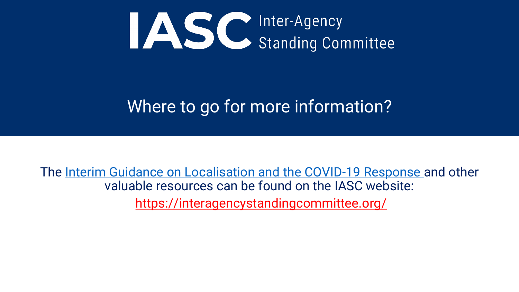

## Where to go for more infor

The Interim Guidance on Localisation and the COV valuable resources can be found on the https://interagencystandingcomm